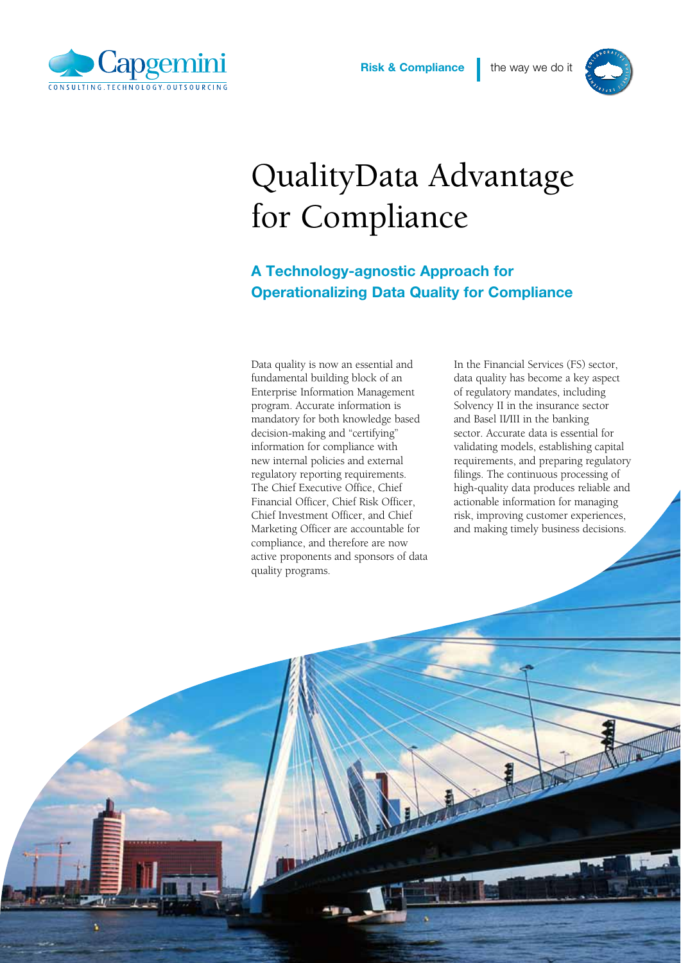



## QualityData Advantage for Compliance

## A Technology-agnostic Approach for Operationalizing Data Quality for Compliance

Data quality is now an essential and fundamental building block of an Enterprise Information Management program. Accurate information is mandatory for both knowledge based decision-making and "certifying" information for compliance with new internal policies and external regulatory reporting requirements. The Chief Executive Office, Chief Financial Officer, Chief Risk Officer, Chief Investment Officer, and Chief Marketing Officer are accountable for compliance, and therefore are now active proponents and sponsors of data quality programs.

In the Financial Services (FS) sector, data quality has become a key aspect of regulatory mandates, including Solvency II in the insurance sector and Basel II/III in the banking sector. Accurate data is essential for validating models, establishing capital requirements, and preparing regulatory filings. The continuous processing of high-quality data produces reliable and actionable information for managing risk, improving customer experiences, and making timely business decisions.